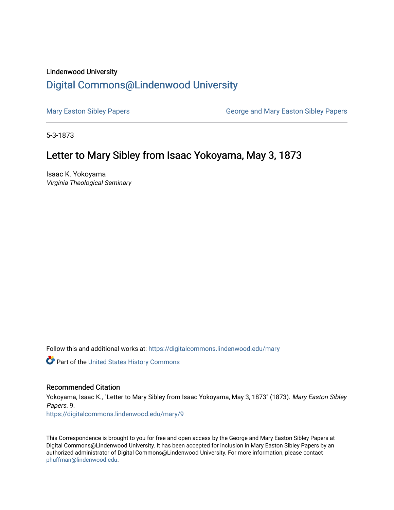### Lindenwood University

# [Digital Commons@Lindenwood University](https://digitalcommons.lindenwood.edu/)

[Mary Easton Sibley Papers](https://digitalcommons.lindenwood.edu/mary) **George and Mary Easton Sibley Papers** George and Mary Easton Sibley Papers

5-3-1873

# Letter to Mary Sibley from Isaac Yokoyama, May 3, 1873

Isaac K. Yokoyama Virginia Theological Seminary

Follow this and additional works at: [https://digitalcommons.lindenwood.edu/mary](https://digitalcommons.lindenwood.edu/mary?utm_source=digitalcommons.lindenwood.edu%2Fmary%2F9&utm_medium=PDF&utm_campaign=PDFCoverPages) 

Part of the [United States History Commons](http://network.bepress.com/hgg/discipline/495?utm_source=digitalcommons.lindenwood.edu%2Fmary%2F9&utm_medium=PDF&utm_campaign=PDFCoverPages) 

### Recommended Citation

Yokoyama, Isaac K., "Letter to Mary Sibley from Isaac Yokoyama, May 3, 1873" (1873). Mary Easton Sibley Papers. 9. [https://digitalcommons.lindenwood.edu/mary/9](https://digitalcommons.lindenwood.edu/mary/9?utm_source=digitalcommons.lindenwood.edu%2Fmary%2F9&utm_medium=PDF&utm_campaign=PDFCoverPages) 

This Correspondence is brought to you for free and open access by the George and Mary Easton Sibley Papers at Digital Commons@Lindenwood University. It has been accepted for inclusion in Mary Easton Sibley Papers by an authorized administrator of Digital Commons@Lindenwood University. For more information, please contact [phuffman@lindenwood.edu](mailto:phuffman@lindenwood.edu).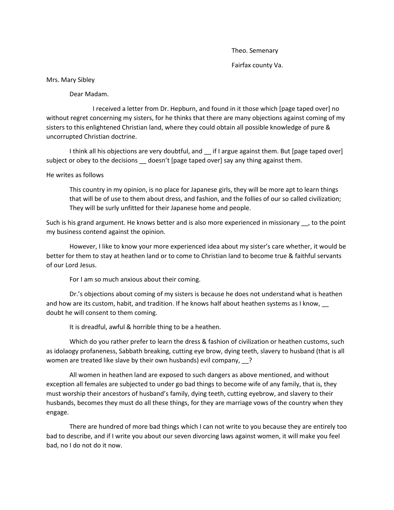Theo. Semenary Fairfax county Va.

#### Mrs. Mary Sibley

Dear Madam.

I received a letter from Dr. Hepburn, and found in it those which [page taped over] no without regret concerning my sisters, for he thinks that there are many objections against coming of my sisters to this enlightened Christian land, where they could obtain all possible knowledge of pure & uncorrupted Christian doctrine.

I think all his objections are very doubtful, and \_\_if I argue against them. But [page taped over] subject or obey to the decisions \_ doesn't [page taped over] say any thing against them.

#### He writes as follows

This country in my opinion, is no place for Japanese girls, they will be more apt to learn things that will be of use to them about dress, and fashion, and the follies of our so called civilization; They will be surly unfitted for their Japanese home and people.

Such is his grand argument. He knows better and is also more experienced in missionary <sub>ou</sub>, to the point my business contend against the opinion.

However, I like to know your more experienced idea about my sister's care whether, it would be better for them to stay at heathen land or to come to Christian land to become true & faithful servants of our Lord Jesus.

For I am so much anxious about their coming.

Dr.'s objections about coming of my sisters is because he does not understand what is heathen and how are its custom, habit, and tradition. If he knows half about heathen systems as I know, doubt he will consent to them coming.

It is dreadful, awful & horrible thing to be a heathen.

Which do you rather prefer to learn the dress & fashion of civilization or heathen customs, such as idolaogy profaneness, Sabbath breaking, cutting eye brow, dying teeth, slavery to husband (that is all women are treated like slave by their own husbands) evil company, 2

All women in heathen land are exposed to such dangers as above mentioned, and without exception all females are subjected to under go bad things to become wife of any family, that is, they must worship their ancestors of husband's family, dying teeth, cutting eyebrow, and slavery to their husbands, becomes they must do all these things, for they are marriage vows of the country when they engage.

There are hundred of more bad things which I can not write to you because they are entirely too bad to describe, and if I write you about our seven divorcing laws against women, it will make you feel bad, no I do not do it now.